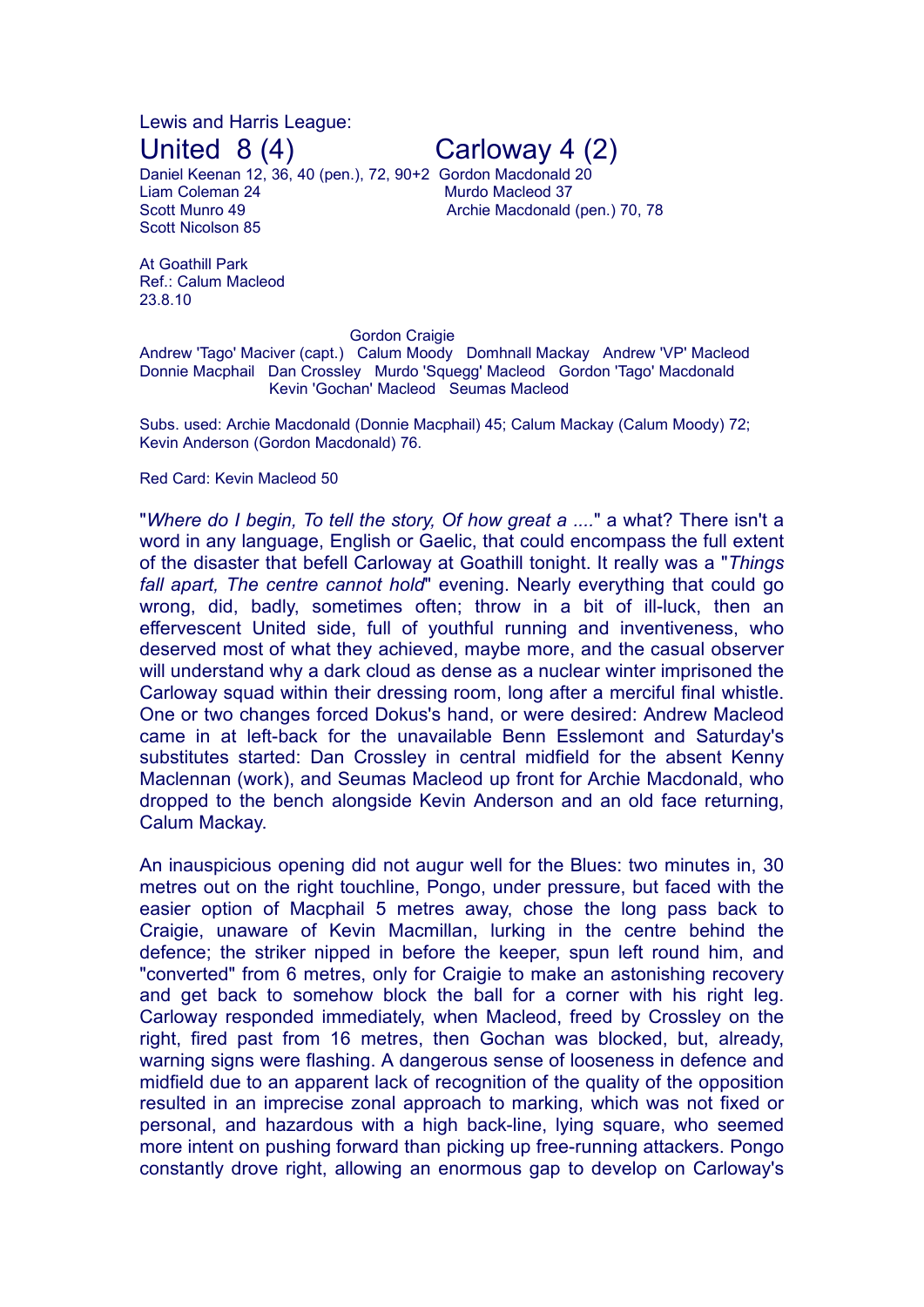Lewis and Harris League:

Daniel Keenan 12, 36, 40 (pen.), 72, 90+2 Gordon Macdonald 20 Liam Coleman 24 Murdo Macleod 37 Scott Munro 49 **Archie Macdonald (pen.)** 70, 78 Scott Nicolson 85

United 8 (4) Carloway 4 (2)

At Goathill Park Ref.: Calum Macleod 23.8.10

**Gordon Craigie** 

Andrew 'Tago' Maciver (capt.) Calum Moody Domhnall Mackay Andrew 'VP' Macleod Donnie Macphail Dan Crossley Murdo 'Squegg' Macleod Gordon 'Tago' Macdonald Kevin 'Gochan' Macleod Seumas Macleod

Subs. used: Archie Macdonald (Donnie Macphail) 45; Calum Mackay (Calum Moody) 72; Kevin Anderson (Gordon Macdonald) 76.

## Red Card: Kevin Macleod 50

"*Where do I begin, To tell the story, Of how great a ....*" a what? There isn't a word in any language, English or Gaelic, that could encompass the full extent of the disaster that befell Carloway at Goathill tonight. It really was a "*Things fall apart, The centre cannot hold*" evening. Nearly everything that could go wrong, did, badly, sometimes often; throw in a bit of ill-luck, then an effervescent United side, full of youthful running and inventiveness, who deserved most of what they achieved, maybe more, and the casual observer will understand why a dark cloud as dense as a nuclear winter imprisoned the Carloway squad within their dressing room, long after a merciful final whistle. One or two changes forced Dokus's hand, or were desired: Andrew Macleod came in at left-back for the unavailable Benn Esslemont and Saturday's substitutes started: Dan Crossley in central midfield for the absent Kenny Maclennan (work), and Seumas Macleod up front for Archie Macdonald, who dropped to the bench alongside Kevin Anderson and an old face returning, Calum Mackay.

An inauspicious opening did not augur well for the Blues: two minutes in, 30 metres out on the right touchline, Pongo, under pressure, but faced with the easier option of Macphail 5 metres away, chose the long pass back to Craigie, unaware of Kevin Macmillan, lurking in the centre behind the defence; the striker nipped in before the keeper, spun left round him, and "converted" from 6 metres, only for Craigie to make an astonishing recovery and get back to somehow block the ball for a corner with his right leg. Carloway responded immediately, when Macleod, freed by Crossley on the right, fired past from 16 metres, then Gochan was blocked, but, already, warning signs were flashing. A dangerous sense of looseness in defence and midfield due to an apparent lack of recognition of the quality of the opposition resulted in an imprecise zonal approach to marking, which was not fixed or personal, and hazardous with a high back-line, lying square, who seemed more intent on pushing forward than picking up free-running attackers. Pongo constantly drove right, allowing an enormous gap to develop on Carloway's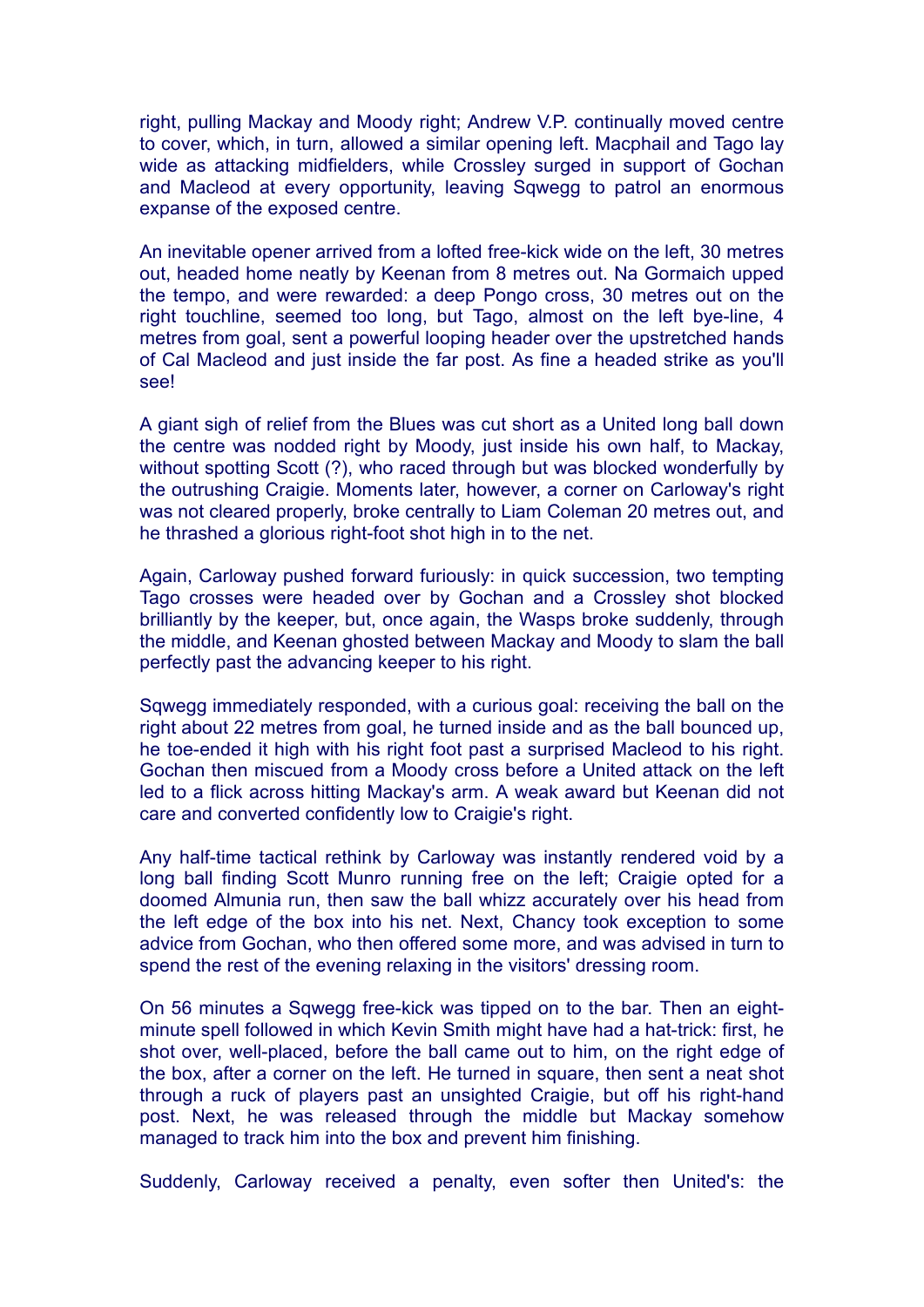right, pulling Mackay and Moody right; Andrew V.P. continually moved centre to cover, which, in turn, allowed a similar opening left. Macphail and Tago lay wide as attacking midfielders, while Crossley surged in support of Gochan and Macleod at every opportunity, leaving Sqwegg to patrol an enormous expanse of the exposed centre.

An inevitable opener arrived from a lofted free-kick wide on the left, 30 metres out, headed home neatly by Keenan from 8 metres out. Na Gormaich upped the tempo, and were rewarded: a deep Pongo cross, 30 metres out on the right touchline, seemed too long, but Tago, almost on the left bye-line, 4 metres from goal, sent a powerful looping header over the upstretched hands of Cal Macleod and just inside the far post. As fine a headed strike as you'll see!

A giant sigh of relief from the Blues was cut short as a United long ball down the centre was nodded right by Moody, just inside his own half, to Mackay, without spotting Scott (?), who raced through but was blocked wonderfully by the outrushing Craigie. Moments later, however, a corner on Carloway's right was not cleared properly, broke centrally to Liam Coleman 20 metres out, and he thrashed a glorious right-foot shot high in to the net.

Again, Carloway pushed forward furiously: in quick succession, two tempting Tago crosses were headed over by Gochan and a Crossley shot blocked brilliantly by the keeper, but, once again, the Wasps broke suddenly, through the middle, and Keenan ghosted between Mackay and Moody to slam the ball perfectly past the advancing keeper to his right.

Sqwegg immediately responded, with a curious goal: receiving the ball on the right about 22 metres from goal, he turned inside and as the ball bounced up, he toe-ended it high with his right foot past a surprised Macleod to his right. Gochan then miscued from a Moody cross before a United attack on the left led to a flick across hitting Mackay's arm. A weak award but Keenan did not care and converted confidently low to Craigie's right.

Any half-time tactical rethink by Carloway was instantly rendered void by a long ball finding Scott Munro running free on the left; Craigie opted for a doomed Almunia run, then saw the ball whizz accurately over his head from the left edge of the box into his net. Next, Chancy took exception to some advice from Gochan, who then offered some more, and was advised in turn to spend the rest of the evening relaxing in the visitors' dressing room.

On 56 minutes a Sqwegg free-kick was tipped on to the bar. Then an eightminute spell followed in which Kevin Smith might have had a hat-trick: first, he shot over, well-placed, before the ball came out to him, on the right edge of the box, after a corner on the left. He turned in square, then sent a neat shot through a ruck of players past an unsighted Craigie, but off his right-hand post. Next, he was released through the middle but Mackay somehow managed to track him into the box and prevent him finishing.

Suddenly, Carloway received a penalty, even softer then United's: the